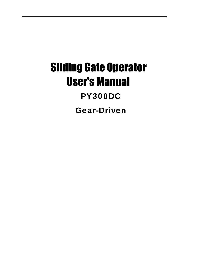# Sliding Gate Operator User's Manual **PY300DC Gear-Driven**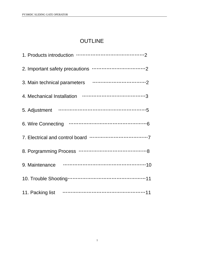## OUTLINE

| 9. Maintenance <b>manufacture</b> of the contract of the contract of the contract of the contract of the contract of the contract of the contract of the contract of the contract of the contract of the contract of the contract o |
|-------------------------------------------------------------------------------------------------------------------------------------------------------------------------------------------------------------------------------------|
|                                                                                                                                                                                                                                     |
|                                                                                                                                                                                                                                     |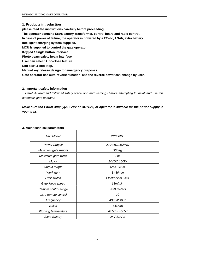### **1. Products introduction**

**please read the instructions carefully before proceeding.**

**The operator contains Extra battery, transformer, control board and radio control.**

**In case of power of failure, the operator is powered by a 24Vdc, 1.3Ah, extra battery.**

**Intelligent charging system supplied.**

**MCU is supplied to control the gate operator.**

**Keypad / single button interface.**

**Photo beam safety beam interface.**

**User can select Auto-close feature**

**Soft start & soft stop.**

**Manual key release design for emergency purposes.**

**Gate operator has auto-reverse function, and the reverse power can change by user.**

**2. Important safety information**<br>**2. Important safety information**<br>**2. Important safety information**<br>*Carefully read and follow all safety preca Carefully read and follow all safety precaution and warnings before attempting to install and use this automatic gate operator.*

*Make sure the Power supply(AC220V or AC110V) of operator is suitable for the power supply in your area.* **3. Main technical parameters**

| <b>Unit Model</b>          | PY300DC                       |  |
|----------------------------|-------------------------------|--|
| <b>Power Supply</b>        | 220VAC/110VAC                 |  |
| Maximum gate weight        | 300Kg                         |  |
| Maximum gate width         | 8m                            |  |
| Motor                      | 24VDC 100W                    |  |
| Output torque              | Max. $8N·m$                   |  |
| Work duty                  | $S_2$ 30 $min$                |  |
| Limit switch               | <b>Electronical Limit</b>     |  |
| Gate Move speed            | 13m/min                       |  |
| Remote control range       | $\geqslant$ 30 meters         |  |
| extra remote control       | 20                            |  |
| Frequency                  | 433.92 MHz                    |  |
| Noise                      | $\leqslant$ 60 dB             |  |
| <b>Working temperature</b> | $-20^{\circ}C - +50^{\circ}C$ |  |
| Extra Battery              | 24V 1.3 Ah                    |  |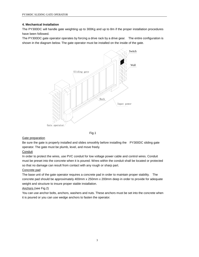### **4. Mechanical Installation**

The PY300DC will handle gate weighting up to 300Kg and up to 8m if the proper installation procedures have been followed.

The PY300DC gate operator operates by forcing a drive rack by a drive gear. The entire configuration is shown in the diagram below. The gate operator must be installed on the inside of the gate.





### Gate preparation

Be sure the gate is properly installed and slides smoothly before installing the PY300DC sliding gate operator. The gate must be plumb, level, and move freely.

### Conduit

In order to protect the wires, use PVC conduit for low voltage power cable and control wires. Conduit must be preset into the concrete when it is poured. Wires within the conduit shall be located or protected so that no damage can result from contact with any rough or sharp part.

### Concrete pad

The base unit of the gate operator requires a concrete pad in order to maintain proper stability. The concrete pad should be approximately 400mm x 250mm x 200mm deep in order to provide for adequate weight and structure to insure proper stable installation.

### Anchors (see Fig.2)

You can use anchor bolts, anchors, washers and nuts. These anchors must be set into the concrete when it is poured or you can use wedge anchors to fasten the operator.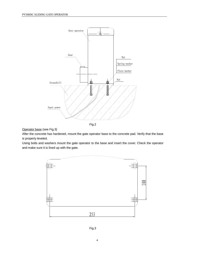

Operator base (see Fig.3)

After the concrete has hardened, mount the gate operator base to the concrete pad. Verify that the base is properly leveled.

Using bolts and washers mount the gate operator to the base and insert the cover. Check the operator and make sure it is lined up with the gate.



Fig.3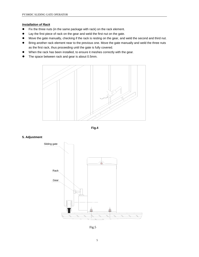### *Installation of Rack*

- Fix the three nuts (in the same package with rack) on the rack element.
- Lay the first piece of rack on the gear and weld the first nut on the gate.
- Move the gate manually, checking if the rack is resting on the gear, and weld the second and third nut.
- Bring another rack element near to the previous one. Move the gate manually and weld the three nuts as the first rack, thus proceeding until the gate is fully covered.
- When the rack has been installed, to ensure it meshes correctly with the gear.
- The space between rack and gear is about 0.5mm.





### **5. Adjustment**



Fig.5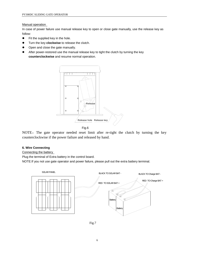### Manual operation

In case of power failure use manual release key to open or close gate manually, use the release key as follow:

- Fit the supplied key in the hole.
- Turn the key **clockwise** to release the clutch.
- Open and close the gate manually.
- After power-restored use the manual release key to tight the clutch by turning the key **counterclockwise** and resume normal operation.



NOTE: The gate operator needed reset limit after re-tight the clutch by turning the key counterclockwise if the power failure and released by hand.

### **6. Wire Connecting**

Connecting the battery

Plug the terminal of Extra battery in the control board.

NOTE:If you not use gate operator and power failure, please pull out the extra battery terminal.



Fig.7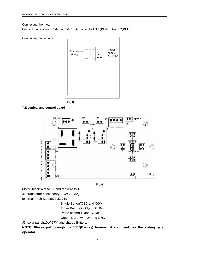### Connecting the motor

Connect motor wires to 'M-' and 'M+' of terminal block T1 (BLACK)and T2(RED).









**Fig.9**

Motor: black wire to T1 and red wire to T2.

J1: transformer secondary(AC24V/3.3A)

external Push Button(J2,J3,J4):

Single Button(OSC and COM) Three Button(K,G,T,and COM), Photo beam(PE and COM) Output DC power: 24 and GND

J5: solar panel(10W 27V) and charge Battery.

**NOTE: Please put through the "J5"(Battrey) terminal, if you need use the sliding gate operator.**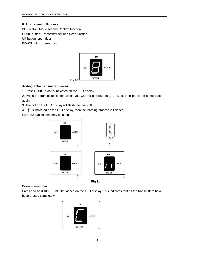**8. Programming Process SET** button: Mode set and Confirm function **CODE** button: Transmitter set and clear function **UP** button: open door **DOWN** button: close door



### **Adding extra transmitter (learn)**

1. Press **CODE**, a dot is indicated on the LED display.

2. Press the transmitter button which you want to use (button 1, 2, 3, 4), then press the same button again.

3. The dot on the LED display will flash then turn off.

4. '**||**' is indicated on the LED display, then the learning process is finished.

Up to 20 transmitters may be used.



### **Erase transmitter**

Press and hold **CODE** until '**C**' flashes on the LED display. This indicates that all the transmitters have been erased completely.

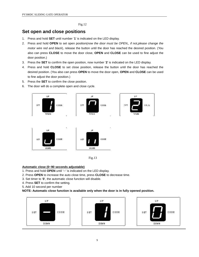Fig.12

### **Set open and close positions**

- 1. Press and hold **SET** until number '**1**' is indicated on the LED display.
- 2. Press and hold **OPEN** to set open position(*now the door must be OPEN,, if not,please change the motor wire red and black*), release the button until the door has reached the desired position. (You also can press **CLOSE** to move the door close, **OPEN** and **CLOSE** can be used to fine adjust the door position.)
- 3. Press the **SET** to confirm the open position, now number '**2**' is indicated on the LED display.
- 4. Press and hold **CLOSE** to set close position, release the button until the door has reached the desired position. (You also can press **OPEN** to move the door open, **OPEN** and **CLOSE** can be used to fine adjust the door position.)
- 5. Press the **SET** to confirm the close position.
- 6. The door will do a complete open and close cycle.



Fig.13

- **Automatic close (0~90 seconds adjustable)**<br>
1. Press and hold **OPEN** until ' ' is indicated on the<br>
2. Press **OPEN** to increase the auto close time, pres<br>
3. Set timer to '0', the automatic close function will d<br>
4. Press 1. Press and hold **OPEN** until '─' is indicated on the LED display. **Automatic close (0~90 seconds adjustable)**<br>1. Press and hold **OPEN** until ' ' is indicated on the LED display<br>2. Press **OPEN** to increase the auto close time, press **CLOSE** to<br>3. Set timer to '0', the automatic close func
- 2. Press **OPEN** to increase the auto close time, press **CLOSE** to decrease time.<br>3. Set timer to '0', the automatic close function will disable.<br>4. Press **SET** to confirm the setting.
- 
- 
- 5. Add 10 second per number

### **NOTE: Automatic close function is available only when the door is in fully opened position.**

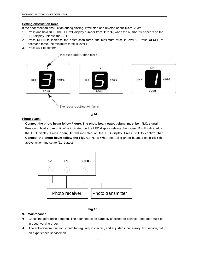### **Setting obstruction force**

If the door meet an obstruction during closing, it will stop and reverse about 15cm~20cm.

- 1. Press and hold **SET**. The LED will display number from '**1**' to '**4**', when the number '**3**' appears on the LED display, release the **SET**.
- 2. Press **OPEN** to increase the obstruction force, the maximum force is level 9. Press **CLOSE** to decrease force, the minimum force is level 1.
- 3. Press **SET** to confirm.



Fig.14

### **Photo beam:**

### **Connect the photo beam follow Figure. The photo beam output signal must be N.C. signal.**

Press and hold **close** until ' ' is indicated on the LED display. release the **close**,'11'will indicated on the LED display. Press **open**, '**H**' will indicated on the LED display. Press **SET** to confirm.**Then Connect the photo beam follow the Figure.**( Note: When not using photo beam, please click the above action and set to "11" status)



### **Fig.15**

### **9. Maintenance**

- Check the door once a month. The door should be carefully checked for balance. The door must be in good working order.
- The auto-reverse function should be regularly inspected, and adjusted if necessary. For service, call an experienced serviceman.